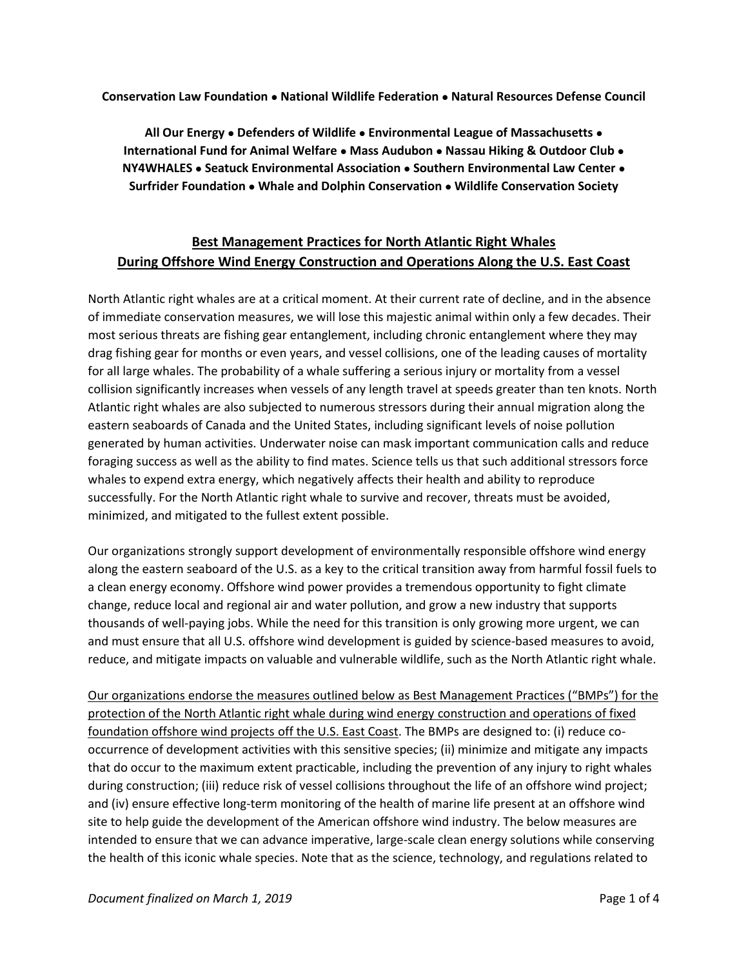**Conservation Law Foundation** ⚫ **National Wildlife Federation** ⚫ **Natural Resources Defense Council** 

**All Our Energy** ⚫ **Defenders of Wildlife** ⚫ **Environmental League of Massachusetts** ⚫ **International Fund for Animal Welfare** ⚫ **Mass Audubon** ⚫ **Nassau Hiking & Outdoor Club** ⚫ **NY4WHALES** ⚫ **Seatuck Environmental Association** ⚫ **Southern Environmental Law Center** ⚫ **Surfrider Foundation** ⚫ **Whale and Dolphin Conservation** ⚫ **Wildlife Conservation Society**

# **Best Management Practices for North Atlantic Right Whales During Offshore Wind Energy Construction and Operations Along the U.S. East Coast**

North Atlantic right whales are at a critical moment. At their current rate of decline, and in the absence of immediate conservation measures, we will lose this majestic animal within only a few decades. Their most serious threats are fishing gear entanglement, including chronic entanglement where they may drag fishing gear for months or even years, and vessel collisions, one of the leading causes of mortality for all large whales. The probability of a whale suffering a serious injury or mortality from a vessel collision significantly increases when vessels of any length travel at speeds greater than ten knots. North Atlantic right whales are also subjected to numerous stressors during their annual migration along the eastern seaboards of Canada and the United States, including significant levels of noise pollution generated by human activities. Underwater noise can mask important communication calls and reduce foraging success as well as the ability to find mates. Science tells us that such additional stressors force whales to expend extra energy, which negatively affects their health and ability to reproduce successfully. For the North Atlantic right whale to survive and recover, threats must be avoided, minimized, and mitigated to the fullest extent possible.

Our organizations strongly support development of environmentally responsible offshore wind energy along the eastern seaboard of the U.S. as a key to the critical transition away from harmful fossil fuels to a clean energy economy. Offshore wind power provides a tremendous opportunity to fight climate change, reduce local and regional air and water pollution, and grow a new industry that supports thousands of well-paying jobs. While the need for this transition is only growing more urgent, we can and must ensure that all U.S. offshore wind development is guided by science-based measures to avoid, reduce, and mitigate impacts on valuable and vulnerable wildlife, such as the North Atlantic right whale.

Our organizations endorse the measures outlined below as Best Management Practices ("BMPs") for the protection of the North Atlantic right whale during wind energy construction and operations of fixed foundation offshore wind projects off the U.S. East Coast. The BMPs are designed to: (i) reduce cooccurrence of development activities with this sensitive species; (ii) minimize and mitigate any impacts that do occur to the maximum extent practicable, including the prevention of any injury to right whales during construction; (iii) reduce risk of vessel collisions throughout the life of an offshore wind project; and (iv) ensure effective long-term monitoring of the health of marine life present at an offshore wind site to help guide the development of the American offshore wind industry. The below measures are intended to ensure that we can advance imperative, large-scale clean energy solutions while conserving the health of this iconic whale species. Note that as the science, technology, and regulations related to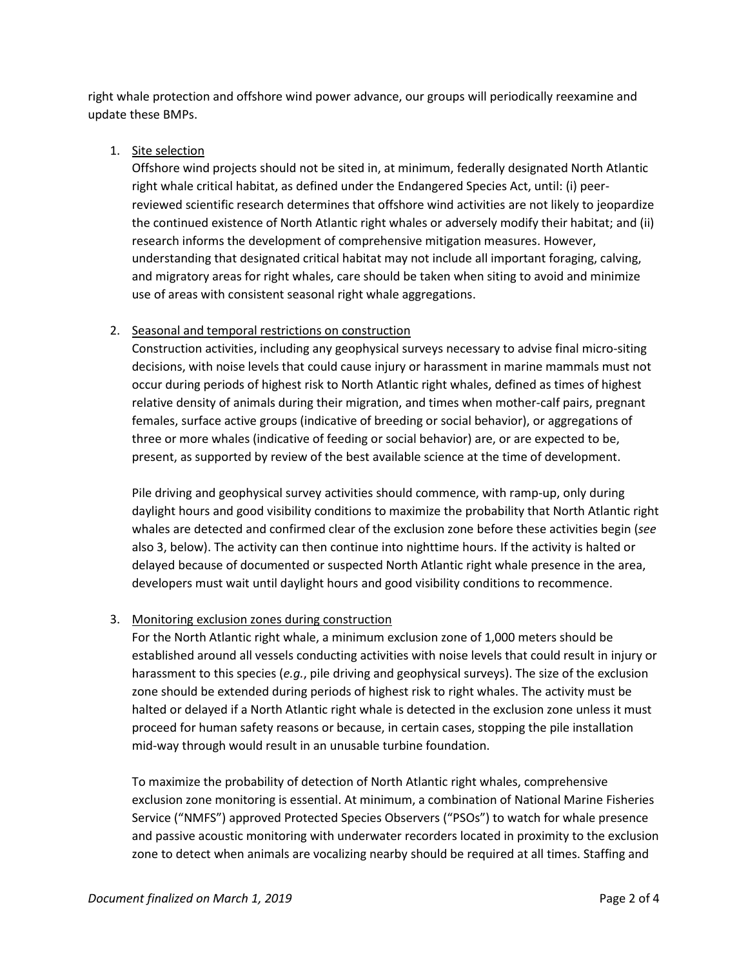right whale protection and offshore wind power advance, our groups will periodically reexamine and update these BMPs.

# 1. Site selection

Offshore wind projects should not be sited in, at minimum, federally designated North Atlantic right whale critical habitat, as defined under the Endangered Species Act, until: (i) peerreviewed scientific research determines that offshore wind activities are not likely to jeopardize the continued existence of North Atlantic right whales or adversely modify their habitat; and (ii) research informs the development of comprehensive mitigation measures. However, understanding that designated critical habitat may not include all important foraging, calving, and migratory areas for right whales, care should be taken when siting to avoid and minimize use of areas with consistent seasonal right whale aggregations.

# 2. Seasonal and temporal restrictions on construction

Construction activities, including any geophysical surveys necessary to advise final micro-siting decisions, with noise levels that could cause injury or harassment in marine mammals must not occur during periods of highest risk to North Atlantic right whales, defined as times of highest relative density of animals during their migration, and times when mother-calf pairs, pregnant females, surface active groups (indicative of breeding or social behavior), or aggregations of three or more whales (indicative of feeding or social behavior) are, or are expected to be, present, as supported by review of the best available science at the time of development.

Pile driving and geophysical survey activities should commence, with ramp-up, only during daylight hours and good visibility conditions to maximize the probability that North Atlantic right whales are detected and confirmed clear of the exclusion zone before these activities begin (*see* also 3, below). The activity can then continue into nighttime hours. If the activity is halted or delayed because of documented or suspected North Atlantic right whale presence in the area, developers must wait until daylight hours and good visibility conditions to recommence.

# 3. Monitoring exclusion zones during construction

For the North Atlantic right whale, a minimum exclusion zone of 1,000 meters should be established around all vessels conducting activities with noise levels that could result in injury or harassment to this species (*e.g.*, pile driving and geophysical surveys). The size of the exclusion zone should be extended during periods of highest risk to right whales. The activity must be halted or delayed if a North Atlantic right whale is detected in the exclusion zone unless it must proceed for human safety reasons or because, in certain cases, stopping the pile installation mid-way through would result in an unusable turbine foundation.

To maximize the probability of detection of North Atlantic right whales, comprehensive exclusion zone monitoring is essential. At minimum, a combination of National Marine Fisheries Service ("NMFS") approved Protected Species Observers ("PSOs") to watch for whale presence and passive acoustic monitoring with underwater recorders located in proximity to the exclusion zone to detect when animals are vocalizing nearby should be required at all times. Staffing and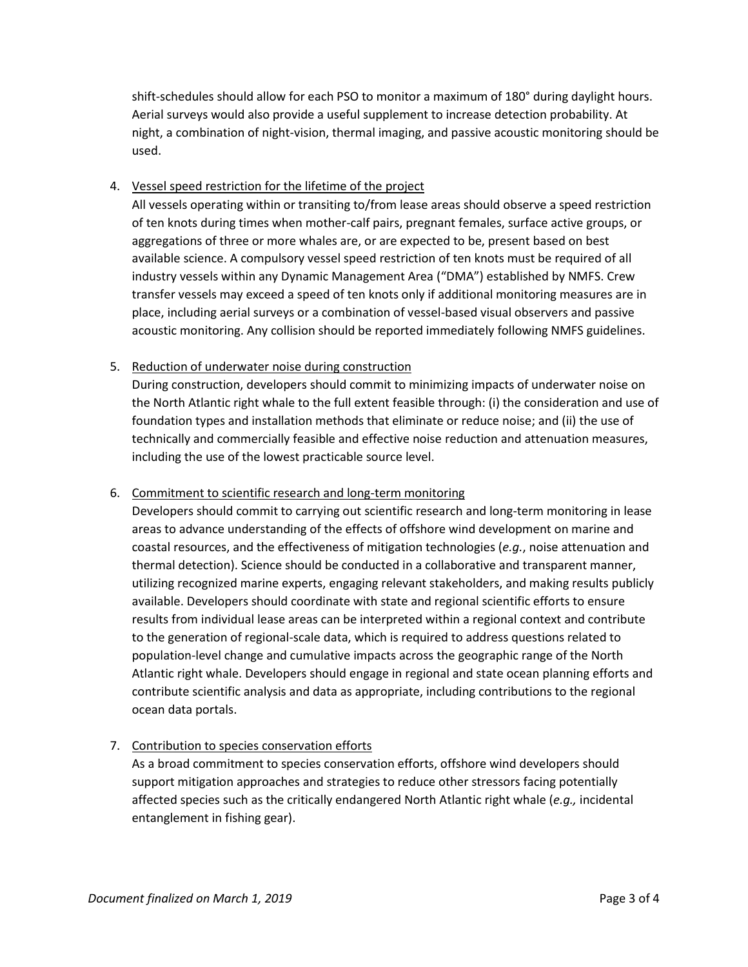shift-schedules should allow for each PSO to monitor a maximum of 180° during daylight hours. Aerial surveys would also provide a useful supplement to increase detection probability. At night, a combination of night-vision, thermal imaging, and passive acoustic monitoring should be used.

### 4. Vessel speed restriction for the lifetime of the project

All vessels operating within or transiting to/from lease areas should observe a speed restriction of ten knots during times when mother-calf pairs, pregnant females, surface active groups, or aggregations of three or more whales are, or are expected to be, present based on best available science. A compulsory vessel speed restriction of ten knots must be required of all industry vessels within any Dynamic Management Area ("DMA") established by NMFS. Crew transfer vessels may exceed a speed of ten knots only if additional monitoring measures are in place, including aerial surveys or a combination of vessel-based visual observers and passive acoustic monitoring. Any collision should be reported immediately following NMFS guidelines.

#### 5. Reduction of underwater noise during construction

During construction, developers should commit to minimizing impacts of underwater noise on the North Atlantic right whale to the full extent feasible through: (i) the consideration and use of foundation types and installation methods that eliminate or reduce noise; and (ii) the use of technically and commercially feasible and effective noise reduction and attenuation measures, including the use of the lowest practicable source level.

#### 6. Commitment to scientific research and long-term monitoring

Developers should commit to carrying out scientific research and long-term monitoring in lease areas to advance understanding of the effects of offshore wind development on marine and coastal resources, and the effectiveness of mitigation technologies (*e.g.*, noise attenuation and thermal detection). Science should be conducted in a collaborative and transparent manner, utilizing recognized marine experts, engaging relevant stakeholders, and making results publicly available. Developers should coordinate with state and regional scientific efforts to ensure results from individual lease areas can be interpreted within a regional context and contribute to the generation of regional-scale data, which is required to address questions related to population-level change and cumulative impacts across the geographic range of the North Atlantic right whale. Developers should engage in regional and state ocean planning efforts and contribute scientific analysis and data as appropriate, including contributions to the regional ocean data portals.

# 7. Contribution to species conservation efforts

As a broad commitment to species conservation efforts, offshore wind developers should support mitigation approaches and strategies to reduce other stressors facing potentially affected species such as the critically endangered North Atlantic right whale (*e.g.,* incidental entanglement in fishing gear).